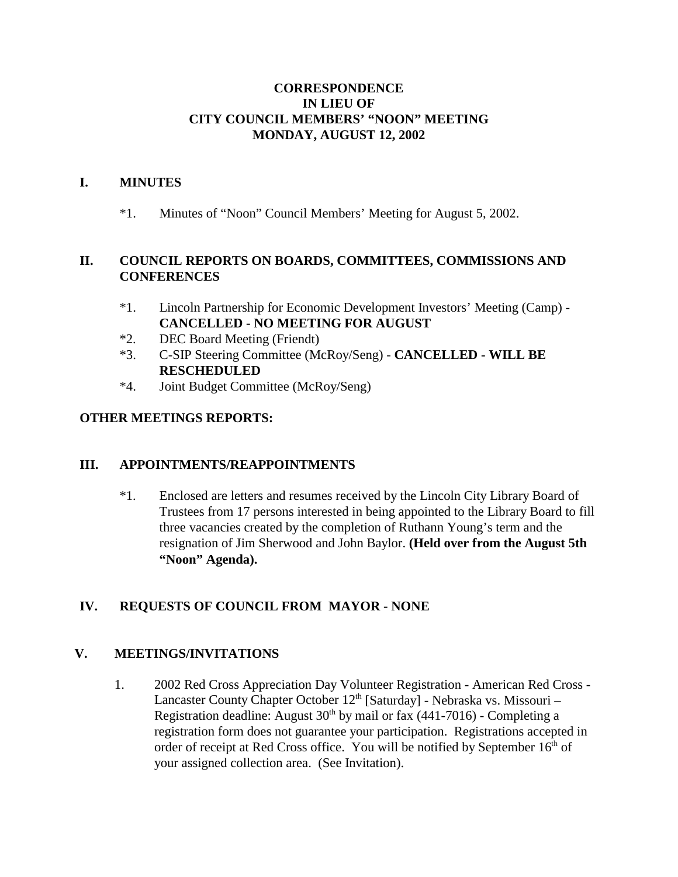### **CORRESPONDENCE IN LIEU OF CITY COUNCIL MEMBERS' "NOON" MEETING MONDAY, AUGUST 12, 2002**

### **I. MINUTES**

\*1. Minutes of "Noon" Council Members' Meeting for August 5, 2002.

## **II. COUNCIL REPORTS ON BOARDS, COMMITTEES, COMMISSIONS AND CONFERENCES**

- \*1. Lincoln Partnership for Economic Development Investors' Meeting (Camp) **CANCELLED - NO MEETING FOR AUGUST**
- \*2. DEC Board Meeting (Friendt)
- \*3. C-SIP Steering Committee (McRoy/Seng) **CANCELLED WILL BE RESCHEDULED**
- \*4. Joint Budget Committee (McRoy/Seng)

### **OTHER MEETINGS REPORTS:**

### **III. APPOINTMENTS/REAPPOINTMENTS**

\*1. Enclosed are letters and resumes received by the Lincoln City Library Board of Trustees from 17 persons interested in being appointed to the Library Board to fill three vacancies created by the completion of Ruthann Young's term and the resignation of Jim Sherwood and John Baylor. **(Held over from the August 5th "Noon" Agenda).**

# **IV. REQUESTS OF COUNCIL FROM MAYOR - NONE**

### **V. MEETINGS/INVITATIONS**

1. 2002 Red Cross Appreciation Day Volunteer Registration - American Red Cross - Lancaster County Chapter October  $12<sup>th</sup>$  [Saturday] - Nebraska vs. Missouri – Registration deadline: August  $30<sup>th</sup>$  by mail or fax (441-7016) - Completing a registration form does not guarantee your participation. Registrations accepted in order of receipt at Red Cross office. You will be notified by September  $16<sup>th</sup>$  of your assigned collection area. (See Invitation).